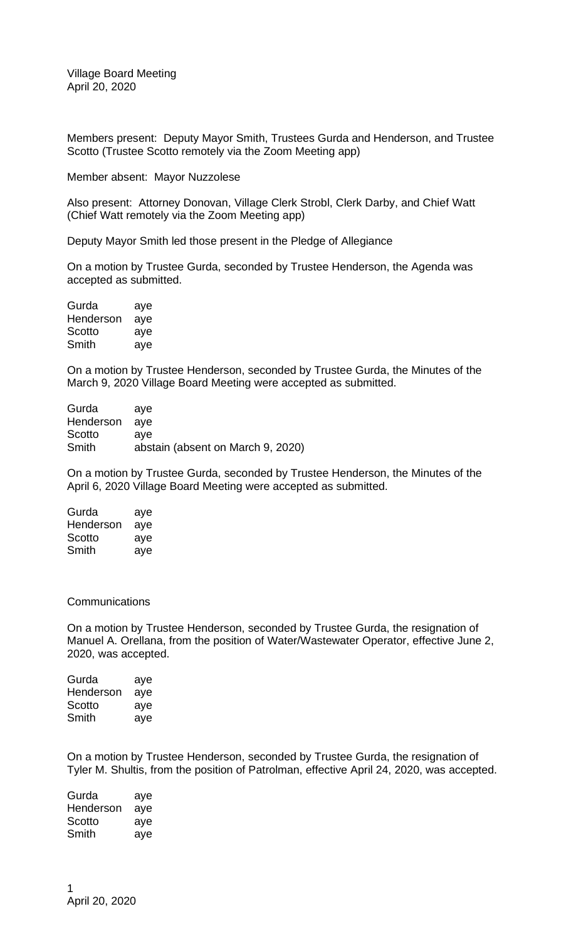Members present: Deputy Mayor Smith, Trustees Gurda and Henderson, and Trustee Scotto (Trustee Scotto remotely via the Zoom Meeting app)

Member absent: Mayor Nuzzolese

Also present: Attorney Donovan, Village Clerk Strobl, Clerk Darby, and Chief Watt (Chief Watt remotely via the Zoom Meeting app)

Deputy Mayor Smith led those present in the Pledge of Allegiance

On a motion by Trustee Gurda, seconded by Trustee Henderson, the Agenda was accepted as submitted.

| Gurda     | aye |
|-----------|-----|
| Henderson | aye |
| Scotto    | aye |
| Smith     | aye |

On a motion by Trustee Henderson, seconded by Trustee Gurda, the Minutes of the March 9, 2020 Village Board Meeting were accepted as submitted.

| Gurda         | ave                               |
|---------------|-----------------------------------|
| Henderson aye |                                   |
| Scotto        | ave                               |
| Smith         | abstain (absent on March 9, 2020) |

On a motion by Trustee Gurda, seconded by Trustee Henderson, the Minutes of the April 6, 2020 Village Board Meeting were accepted as submitted.

| Gurda     | aye |
|-----------|-----|
| Henderson | aye |
| Scotto    | aye |
| Smith     | aye |

## **Communications**

On a motion by Trustee Henderson, seconded by Trustee Gurda, the resignation of Manuel A. Orellana, from the position of Water/Wastewater Operator, effective June 2, 2020, was accepted.

| Gurda     | aye |
|-----------|-----|
| Henderson | aye |
| Scotto    | aye |
| Smith     | aye |

On a motion by Trustee Henderson, seconded by Trustee Gurda, the resignation of Tyler M. Shultis, from the position of Patrolman, effective April 24, 2020, was accepted.

Gurda aye Henderson aye Scotto aye Smith aye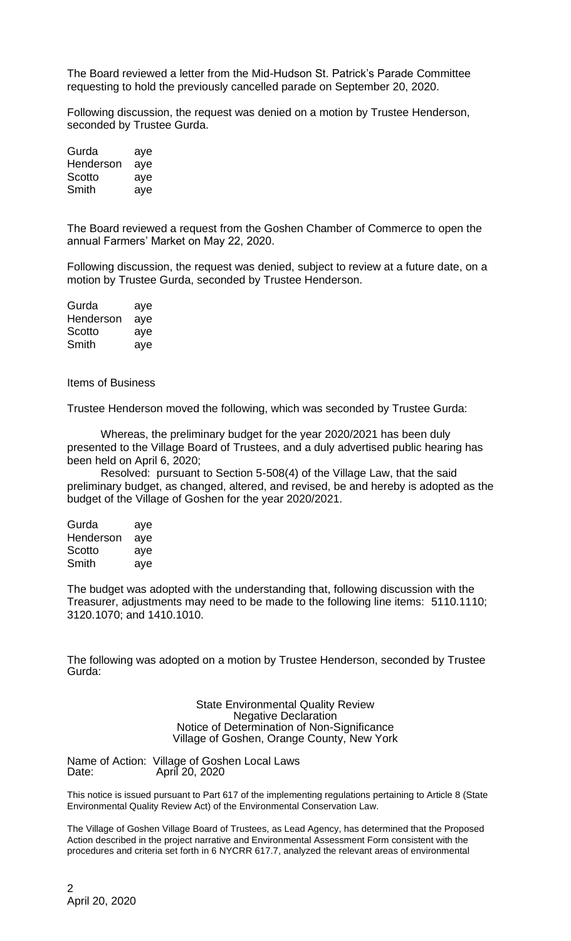The Board reviewed a letter from the Mid-Hudson St. Patrick's Parade Committee requesting to hold the previously cancelled parade on September 20, 2020.

Following discussion, the request was denied on a motion by Trustee Henderson, seconded by Trustee Gurda.

| Gurda     | aye |
|-----------|-----|
| Henderson | aye |
| Scotto    | aye |
| Smith     | aye |

The Board reviewed a request from the Goshen Chamber of Commerce to open the annual Farmers' Market on May 22, 2020.

Following discussion, the request was denied, subject to review at a future date, on a motion by Trustee Gurda, seconded by Trustee Henderson.

| Gurda     | aye |
|-----------|-----|
| Henderson | aye |
| Scotto    | aye |
| Smith     | aye |

Items of Business

Trustee Henderson moved the following, which was seconded by Trustee Gurda:

Whereas, the preliminary budget for the year 2020/2021 has been duly presented to the Village Board of Trustees, and a duly advertised public hearing has been held on April 6, 2020;

Resolved: pursuant to Section 5-508(4) of the Village Law, that the said preliminary budget, as changed, altered, and revised, be and hereby is adopted as the budget of the Village of Goshen for the year 2020/2021.

| Gurda     | aye |
|-----------|-----|
| Henderson | aye |
| Scotto    | aye |
| Smith     | aye |

The budget was adopted with the understanding that, following discussion with the Treasurer, adjustments may need to be made to the following line items: 5110.1110; 3120.1070; and 1410.1010.

The following was adopted on a motion by Trustee Henderson, seconded by Trustee Gurda:

> State Environmental Quality Review Negative Declaration Notice of Determination of Non-Significance Village of Goshen, Orange County, New York

Name of Action: Village of Goshen Local Laws<br>Date: April 20, 2020 April 20, 2020

This notice is issued pursuant to Part 617 of the implementing regulations pertaining to Article 8 (State Environmental Quality Review Act) of the Environmental Conservation Law.

The Village of Goshen Village Board of Trustees, as Lead Agency, has determined that the Proposed Action described in the project narrative and Environmental Assessment Form consistent with the procedures and criteria set forth in 6 NYCRR 617.7, analyzed the relevant areas of environmental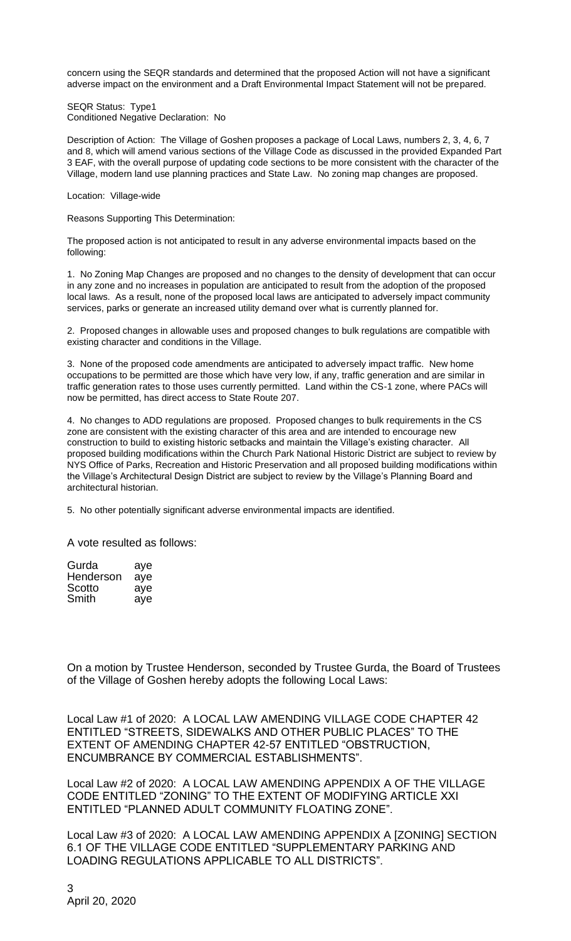concern using the SEQR standards and determined that the proposed Action will not have a significant adverse impact on the environment and a Draft Environmental Impact Statement will not be prepared.

SEQR Status: Type1 Conditioned Negative Declaration: No

Description of Action: The Village of Goshen proposes a package of Local Laws, numbers 2, 3, 4, 6, 7 and 8, which will amend various sections of the Village Code as discussed in the provided Expanded Part 3 EAF, with the overall purpose of updating code sections to be more consistent with the character of the Village, modern land use planning practices and State Law. No zoning map changes are proposed.

Location: Village-wide

Reasons Supporting This Determination:

The proposed action is not anticipated to result in any adverse environmental impacts based on the following:

1. No Zoning Map Changes are proposed and no changes to the density of development that can occur in any zone and no increases in population are anticipated to result from the adoption of the proposed local laws. As a result, none of the proposed local laws are anticipated to adversely impact community services, parks or generate an increased utility demand over what is currently planned for.

2. Proposed changes in allowable uses and proposed changes to bulk regulations are compatible with existing character and conditions in the Village.

3. None of the proposed code amendments are anticipated to adversely impact traffic. New home occupations to be permitted are those which have very low, if any, traffic generation and are similar in traffic generation rates to those uses currently permitted. Land within the CS-1 zone, where PACs will now be permitted, has direct access to State Route 207.

4. No changes to ADD regulations are proposed. Proposed changes to bulk requirements in the CS zone are consistent with the existing character of this area and are intended to encourage new construction to build to existing historic setbacks and maintain the Village's existing character. All proposed building modifications within the Church Park National Historic District are subject to review by NYS Office of Parks, Recreation and Historic Preservation and all proposed building modifications within the Village's Architectural Design District are subject to review by the Village's Planning Board and architectural historian.

5. No other potentially significant adverse environmental impacts are identified.

A vote resulted as follows:

| Gurda     | aye |
|-----------|-----|
| Henderson | aye |
| Scotto    | aye |
| Smith     | aye |

On a motion by Trustee Henderson, seconded by Trustee Gurda, the Board of Trustees of the Village of Goshen hereby adopts the following Local Laws:

Local Law #1 of 2020: A LOCAL LAW AMENDING VILLAGE CODE CHAPTER 42 ENTITLED "STREETS, SIDEWALKS AND OTHER PUBLIC PLACES" TO THE EXTENT OF AMENDING CHAPTER 42-57 ENTITLED "OBSTRUCTION, ENCUMBRANCE BY COMMERCIAL ESTABLISHMENTS".

Local Law #2 of 2020: A LOCAL LAW AMENDING APPENDIX A OF THE VILLAGE CODE ENTITLED "ZONING" TO THE EXTENT OF MODIFYING ARTICLE XXI ENTITLED "PLANNED ADULT COMMUNITY FLOATING ZONE".

Local Law #3 of 2020: A LOCAL LAW AMENDING APPENDIX A [ZONING] SECTION 6.1 OF THE VILLAGE CODE ENTITLED "SUPPLEMENTARY PARKING AND LOADING REGULATIONS APPLICABLE TO ALL DISTRICTS".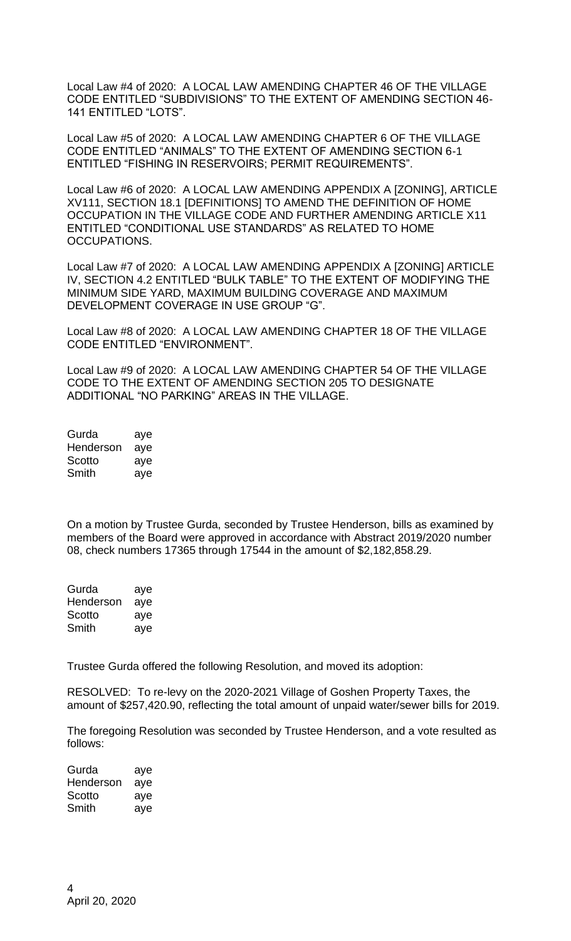Local Law #4 of 2020: A LOCAL LAW AMENDING CHAPTER 46 OF THE VILLAGE CODE ENTITLED "SUBDIVISIONS" TO THE EXTENT OF AMENDING SECTION 46- 141 ENTITLED "LOTS".

Local Law #5 of 2020: A LOCAL LAW AMENDING CHAPTER 6 OF THE VILLAGE CODE ENTITLED "ANIMALS" TO THE EXTENT OF AMENDING SECTION 6-1 ENTITLED "FISHING IN RESERVOIRS; PERMIT REQUIREMENTS".

Local Law #6 of 2020: A LOCAL LAW AMENDING APPENDIX A [ZONING], ARTICLE XV111, SECTION 18.1 [DEFINITIONS] TO AMEND THE DEFINITION OF HOME OCCUPATION IN THE VILLAGE CODE AND FURTHER AMENDING ARTICLE X11 ENTITLED "CONDITIONAL USE STANDARDS" AS RELATED TO HOME OCCUPATIONS.

Local Law #7 of 2020: A LOCAL LAW AMENDING APPENDIX A [ZONING] ARTICLE IV, SECTION 4.2 ENTITLED "BULK TABLE" TO THE EXTENT OF MODIFYING THE MINIMUM SIDE YARD, MAXIMUM BUILDING COVERAGE AND MAXIMUM DEVELOPMENT COVERAGE IN USE GROUP "G".

Local Law #8 of 2020: A LOCAL LAW AMENDING CHAPTER 18 OF THE VILLAGE CODE ENTITLED "ENVIRONMENT".

Local Law #9 of 2020: A LOCAL LAW AMENDING CHAPTER 54 OF THE VILLAGE CODE TO THE EXTENT OF AMENDING SECTION 205 TO DESIGNATE ADDITIONAL "NO PARKING" AREAS IN THE VILLAGE.

| Gurda     | aye |
|-----------|-----|
| Henderson | aye |
| Scotto    | aye |
| Smith     | aye |

On a motion by Trustee Gurda, seconded by Trustee Henderson, bills as examined by members of the Board were approved in accordance with Abstract 2019/2020 number 08, check numbers 17365 through 17544 in the amount of \$2,182,858.29.

| Gurda     | aye |
|-----------|-----|
| Henderson | aye |
| Scotto    | aye |
| Smith     | aye |

Trustee Gurda offered the following Resolution, and moved its adoption:

RESOLVED: To re-levy on the 2020-2021 Village of Goshen Property Taxes, the amount of \$257,420.90, reflecting the total amount of unpaid water/sewer bills for 2019.

The foregoing Resolution was seconded by Trustee Henderson, and a vote resulted as follows:

| Gurda     | aye |
|-----------|-----|
| Henderson | aye |
| Scotto    | aye |
| Smith     | aye |